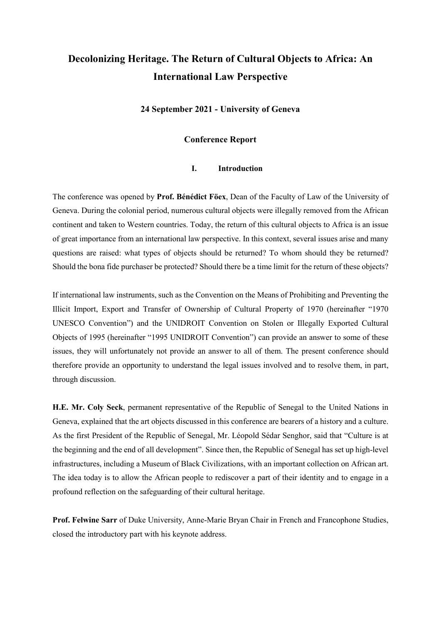# **Decolonizing Heritage. The Return of Cultural Objects to Africa: An International Law Perspective**

**24 September 2021 - University of Geneva**

# **Conference Report**

# **I. Introduction**

The conference was opened by **Prof. Bénédict Föex**, Dean of the Faculty of Law of the University of Geneva. During the colonial period, numerous cultural objects were illegally removed from the African continent and taken to Western countries. Today, the return of this cultural objects to Africa is an issue of great importance from an international law perspective. In this context, several issues arise and many questions are raised: what types of objects should be returned? To whom should they be returned? Should the bona fide purchaser be protected? Should there be a time limit for the return of these objects?

If international law instruments, such as the Convention on the Means of Prohibiting and Preventing the Illicit Import, Export and Transfer of Ownership of Cultural Property of 1970 (hereinafter "1970 UNESCO Convention") and the UNIDROIT Convention on Stolen or Illegally Exported Cultural Objects of 1995 (hereinafter "1995 UNIDROIT Convention") can provide an answer to some of these issues, they will unfortunately not provide an answer to all of them. The present conference should therefore provide an opportunity to understand the legal issues involved and to resolve them, in part, through discussion.

**H.E. Mr. Coly Seck**, permanent representative of the Republic of Senegal to the United Nations in Geneva, explained that the art objects discussed in this conference are bearers of a history and a culture. As the first President of the Republic of Senegal, Mr. Léopold Sédar Senghor, said that "Culture is at the beginning and the end of all development". Since then, the Republic of Senegal has set up high-level infrastructures, including a Museum of Black Civilizations, with an important collection on African art. The idea today is to allow the African people to rediscover a part of their identity and to engage in a profound reflection on the safeguarding of their cultural heritage.

**Prof. Felwine Sarr** of Duke University, Anne-Marie Bryan Chair in French and Francophone Studies, closed the introductory part with his keynote address.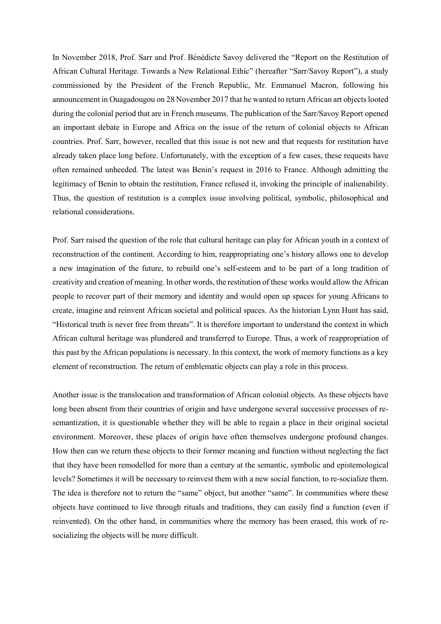In November 2018, Prof. Sarr and Prof. Bénédicte Savoy delivered the "Report on the Restitution of African Cultural Heritage. Towards a New Relational Ethic" (hereafter "Sarr/Savoy Report"), a study commissioned by the President of the French Republic, Mr. Emmanuel Macron, following his announcement in Ouagadougou on 28 November 2017 that he wanted to return African art objects looted during the colonial period that are in French museums. The publication of the Sarr/Savoy Report opened an important debate in Europe and Africa on the issue of the return of colonial objects to African countries. Prof. Sarr, however, recalled that this issue is not new and that requests for restitution have already taken place long before. Unfortunately, with the exception of a few cases, these requests have often remained unheeded. The latest was Benin's request in 2016 to France. Although admitting the legitimacy of Benin to obtain the restitution, France refused it, invoking the principle of inalienability. Thus, the question of restitution is a complex issue involving political, symbolic, philosophical and relational considerations.

Prof. Sarr raised the question of the role that cultural heritage can play for African youth in a context of reconstruction of the continent. According to him, reappropriating one's history allows one to develop a new imagination of the future, to rebuild one's self-esteem and to be part of a long tradition of creativity and creation of meaning. In other words, the restitution of these works would allow the African people to recover part of their memory and identity and would open up spaces for young Africans to create, imagine and reinvent African societal and political spaces. As the historian Lynn Hunt has said, "Historical truth is never free from threats". It is therefore important to understand the context in which African cultural heritage was plundered and transferred to Europe. Thus, a work of reappropriation of this past by the African populations is necessary. In this context, the work of memory functions as a key element of reconstruction. The return of emblematic objects can play a role in this process.

Another issue is the translocation and transformation of African colonial objects. As these objects have long been absent from their countries of origin and have undergone several successive processes of resemantization, it is questionable whether they will be able to regain a place in their original societal environment. Moreover, these places of origin have often themselves undergone profound changes. How then can we return these objects to their former meaning and function without neglecting the fact that they have been remodelled for more than a century at the semantic, symbolic and epistemological levels? Sometimes it will be necessary to reinvest them with a new social function, to re-socialize them. The idea is therefore not to return the "same" object, but another "same". In communities where these objects have continued to live through rituals and traditions, they can easily find a function (even if reinvented). On the other hand, in communities where the memory has been erased, this work of resocializing the objects will be more difficult.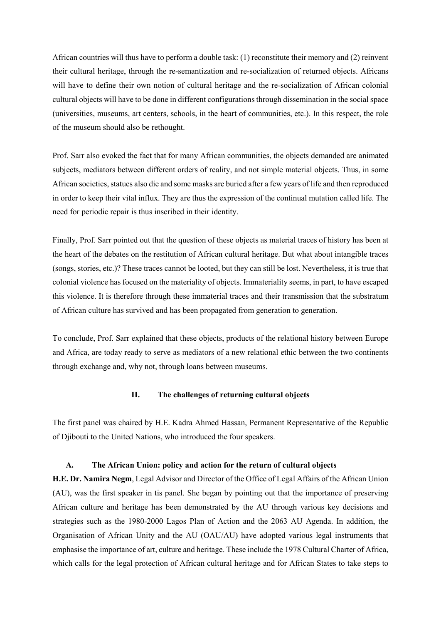African countries will thus have to perform a double task: (1) reconstitute their memory and (2) reinvent their cultural heritage, through the re-semantization and re-socialization of returned objects. Africans will have to define their own notion of cultural heritage and the re-socialization of African colonial cultural objects will have to be done in different configurations through dissemination in the social space (universities, museums, art centers, schools, in the heart of communities, etc.). In this respect, the role of the museum should also be rethought.

Prof. Sarr also evoked the fact that for many African communities, the objects demanded are animated subjects, mediators between different orders of reality, and not simple material objects. Thus, in some African societies, statues also die and some masks are buried after a few years of life and then reproduced in order to keep their vital influx. They are thus the expression of the continual mutation called life. The need for periodic repair is thus inscribed in their identity.

Finally, Prof. Sarr pointed out that the question of these objects as material traces of history has been at the heart of the debates on the restitution of African cultural heritage. But what about intangible traces (songs, stories, etc.)? These traces cannot be looted, but they can still be lost. Nevertheless, it is true that colonial violence has focused on the materiality of objects. Immateriality seems, in part, to have escaped this violence. It is therefore through these immaterial traces and their transmission that the substratum of African culture has survived and has been propagated from generation to generation.

To conclude, Prof. Sarr explained that these objects, products of the relational history between Europe and Africa, are today ready to serve as mediators of a new relational ethic between the two continents through exchange and, why not, through loans between museums.

### **II. The challenges of returning cultural objects**

The first panel was chaired by H.E. Kadra Ahmed Hassan, Permanent Representative of the Republic of Djibouti to the United Nations, who introduced the four speakers.

#### **A. The African Union: policy and action for the return of cultural objects**

**H.E. Dr. Namira Negm**, Legal Advisor and Director of the Office of Legal Affairs of the African Union (AU), was the first speaker in tis panel. She began by pointing out that the importance of preserving African culture and heritage has been demonstrated by the AU through various key decisions and strategies such as the 1980-2000 Lagos Plan of Action and the 2063 AU Agenda. In addition, the Organisation of African Unity and the AU (OAU/AU) have adopted various legal instruments that emphasise the importance of art, culture and heritage. These include the 1978 Cultural Charter of Africa, which calls for the legal protection of African cultural heritage and for African States to take steps to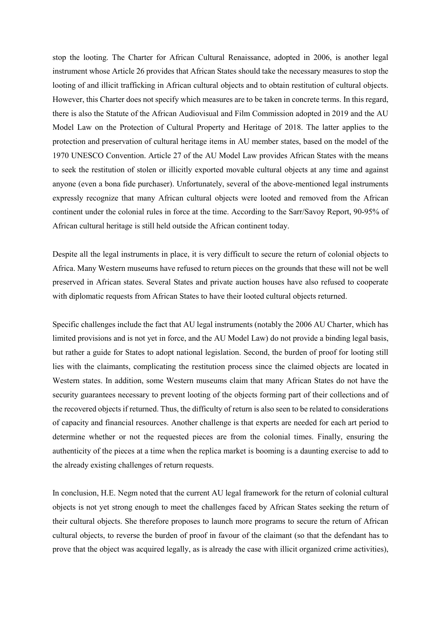stop the looting. The Charter for African Cultural Renaissance, adopted in 2006, is another legal instrument whose Article 26 provides that African States should take the necessary measures to stop the looting of and illicit trafficking in African cultural objects and to obtain restitution of cultural objects. However, this Charter does not specify which measures are to be taken in concrete terms. In this regard, there is also the Statute of the African Audiovisual and Film Commission adopted in 2019 and the AU Model Law on the Protection of Cultural Property and Heritage of 2018. The latter applies to the protection and preservation of cultural heritage items in AU member states, based on the model of the 1970 UNESCO Convention. Article 27 of the AU Model Law provides African States with the means to seek the restitution of stolen or illicitly exported movable cultural objects at any time and against anyone (even a bona fide purchaser). Unfortunately, several of the above-mentioned legal instruments expressly recognize that many African cultural objects were looted and removed from the African continent under the colonial rules in force at the time. According to the Sarr/Savoy Report, 90-95% of African cultural heritage is still held outside the African continent today.

Despite all the legal instruments in place, it is very difficult to secure the return of colonial objects to Africa. Many Western museums have refused to return pieces on the grounds that these will not be well preserved in African states. Several States and private auction houses have also refused to cooperate with diplomatic requests from African States to have their looted cultural objects returned.

Specific challenges include the fact that AU legal instruments (notably the 2006 AU Charter, which has limited provisions and is not yet in force, and the AU Model Law) do not provide a binding legal basis, but rather a guide for States to adopt national legislation. Second, the burden of proof for looting still lies with the claimants, complicating the restitution process since the claimed objects are located in Western states. In addition, some Western museums claim that many African States do not have the security guarantees necessary to prevent looting of the objects forming part of their collections and of the recovered objects if returned. Thus, the difficulty of return is also seen to be related to considerations of capacity and financial resources. Another challenge is that experts are needed for each art period to determine whether or not the requested pieces are from the colonial times. Finally, ensuring the authenticity of the pieces at a time when the replica market is booming is a daunting exercise to add to the already existing challenges of return requests.

In conclusion, H.E. Negm noted that the current AU legal framework for the return of colonial cultural objects is not yet strong enough to meet the challenges faced by African States seeking the return of their cultural objects. She therefore proposes to launch more programs to secure the return of African cultural objects, to reverse the burden of proof in favour of the claimant (so that the defendant has to prove that the object was acquired legally, as is already the case with illicit organized crime activities),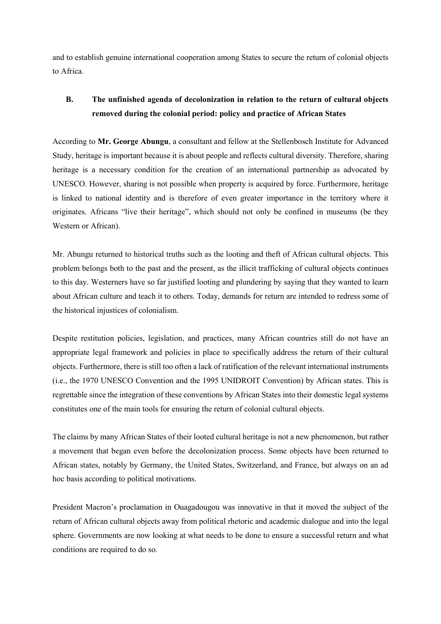and to establish genuine international cooperation among States to secure the return of colonial objects to Africa.

# **B. The unfinished agenda of decolonization in relation to the return of cultural objects removed during the colonial period: policy and practice of African States**

According to **Mr. George Abungu**, a consultant and fellow at the Stellenbosch Institute for Advanced Study, heritage is important because it is about people and reflects cultural diversity. Therefore, sharing heritage is a necessary condition for the creation of an international partnership as advocated by UNESCO. However, sharing is not possible when property is acquired by force. Furthermore, heritage is linked to national identity and is therefore of even greater importance in the territory where it originates. Africans "live their heritage", which should not only be confined in museums (be they Western or African).

Mr. Abungu returned to historical truths such as the looting and theft of African cultural objects. This problem belongs both to the past and the present, as the illicit trafficking of cultural objects continues to this day. Westerners have so far justified looting and plundering by saying that they wanted to learn about African culture and teach it to others. Today, demands for return are intended to redress some of the historical injustices of colonialism.

Despite restitution policies, legislation, and practices, many African countries still do not have an appropriate legal framework and policies in place to specifically address the return of their cultural objects. Furthermore, there is still too often a lack of ratification of the relevant international instruments (i.e., the 1970 UNESCO Convention and the 1995 UNIDROIT Convention) by African states. This is regrettable since the integration of these conventions by African States into their domestic legal systems constitutes one of the main tools for ensuring the return of colonial cultural objects.

The claims by many African States of their looted cultural heritage is not a new phenomenon, but rather a movement that began even before the decolonization process. Some objects have been returned to African states, notably by Germany, the United States, Switzerland, and France, but always on an ad hoc basis according to political motivations.

President Macron's proclamation in Ouagadougou was innovative in that it moved the subject of the return of African cultural objects away from political rhetoric and academic dialogue and into the legal sphere. Governments are now looking at what needs to be done to ensure a successful return and what conditions are required to do so.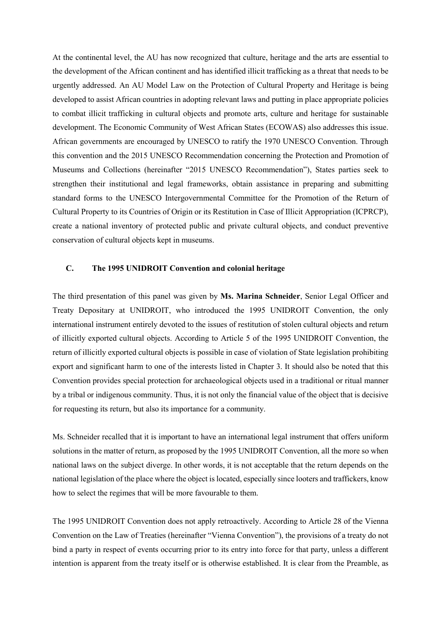At the continental level, the AU has now recognized that culture, heritage and the arts are essential to the development of the African continent and has identified illicit trafficking as a threat that needs to be urgently addressed. An AU Model Law on the Protection of Cultural Property and Heritage is being developed to assist African countries in adopting relevant laws and putting in place appropriate policies to combat illicit trafficking in cultural objects and promote arts, culture and heritage for sustainable development. The Economic Community of West African States (ECOWAS) also addresses this issue. African governments are encouraged by UNESCO to ratify the 1970 UNESCO Convention. Through this convention and the 2015 UNESCO Recommendation concerning the Protection and Promotion of Museums and Collections (hereinafter "2015 UNESCO Recommendation"), States parties seek to strengthen their institutional and legal frameworks, obtain assistance in preparing and submitting standard forms to the UNESCO Intergovernmental Committee for the Promotion of the Return of Cultural Property to its Countries of Origin or its Restitution in Case of Illicit Appropriation (ICPRCP), create a national inventory of protected public and private cultural objects, and conduct preventive conservation of cultural objects kept in museums.

#### **C. The 1995 UNIDROIT Convention and colonial heritage**

The third presentation of this panel was given by **Ms. Marina Schneider**, Senior Legal Officer and Treaty Depositary at UNIDROIT, who introduced the 1995 UNIDROIT Convention, the only international instrument entirely devoted to the issues of restitution of stolen cultural objects and return of illicitly exported cultural objects. According to Article 5 of the 1995 UNIDROIT Convention, the return of illicitly exported cultural objects is possible in case of violation of State legislation prohibiting export and significant harm to one of the interests listed in Chapter 3. It should also be noted that this Convention provides special protection for archaeological objects used in a traditional or ritual manner by a tribal or indigenous community. Thus, it is not only the financial value of the object that is decisive for requesting its return, but also its importance for a community.

Ms. Schneider recalled that it is important to have an international legal instrument that offers uniform solutions in the matter of return, as proposed by the 1995 UNIDROIT Convention, all the more so when national laws on the subject diverge. In other words, it is not acceptable that the return depends on the national legislation of the place where the object is located, especially since looters and traffickers, know how to select the regimes that will be more favourable to them.

The 1995 UNIDROIT Convention does not apply retroactively. According to Article 28 of the Vienna Convention on the Law of Treaties (hereinafter "Vienna Convention"), the provisions of a treaty do not bind a party in respect of events occurring prior to its entry into force for that party, unless a different intention is apparent from the treaty itself or is otherwise established. It is clear from the Preamble, as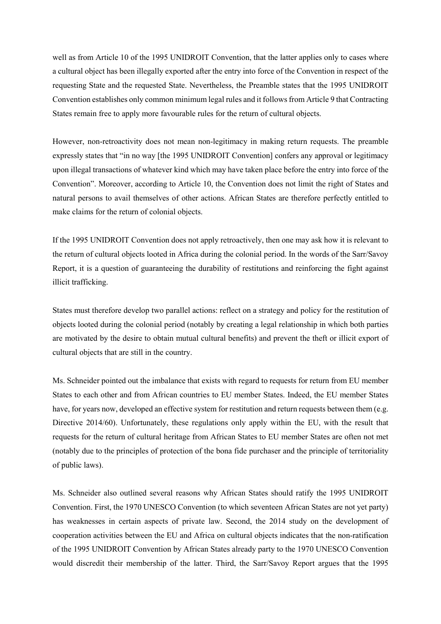well as from Article 10 of the 1995 UNIDROIT Convention, that the latter applies only to cases where a cultural object has been illegally exported after the entry into force of the Convention in respect of the requesting State and the requested State. Nevertheless, the Preamble states that the 1995 UNIDROIT Convention establishes only common minimum legal rules and it follows from Article 9 that Contracting States remain free to apply more favourable rules for the return of cultural objects.

However, non-retroactivity does not mean non-legitimacy in making return requests. The preamble expressly states that "in no way [the 1995 UNIDROIT Convention] confers any approval or legitimacy upon illegal transactions of whatever kind which may have taken place before the entry into force of the Convention". Moreover, according to Article 10, the Convention does not limit the right of States and natural persons to avail themselves of other actions. African States are therefore perfectly entitled to make claims for the return of colonial objects.

If the 1995 UNIDROIT Convention does not apply retroactively, then one may ask how it is relevant to the return of cultural objects looted in Africa during the colonial period. In the words of the Sarr/Savoy Report, it is a question of guaranteeing the durability of restitutions and reinforcing the fight against illicit trafficking.

States must therefore develop two parallel actions: reflect on a strategy and policy for the restitution of objects looted during the colonial period (notably by creating a legal relationship in which both parties are motivated by the desire to obtain mutual cultural benefits) and prevent the theft or illicit export of cultural objects that are still in the country.

Ms. Schneider pointed out the imbalance that exists with regard to requests for return from EU member States to each other and from African countries to EU member States. Indeed, the EU member States have, for years now, developed an effective system for restitution and return requests between them (e.g. Directive 2014/60). Unfortunately, these regulations only apply within the EU, with the result that requests for the return of cultural heritage from African States to EU member States are often not met (notably due to the principles of protection of the bona fide purchaser and the principle of territoriality of public laws).

Ms. Schneider also outlined several reasons why African States should ratify the 1995 UNIDROIT Convention. First, the 1970 UNESCO Convention (to which seventeen African States are not yet party) has weaknesses in certain aspects of private law. Second, the 2014 study on the development of cooperation activities between the EU and Africa on cultural objects indicates that the non-ratification of the 1995 UNIDROIT Convention by African States already party to the 1970 UNESCO Convention would discredit their membership of the latter. Third, the Sarr/Savoy Report argues that the 1995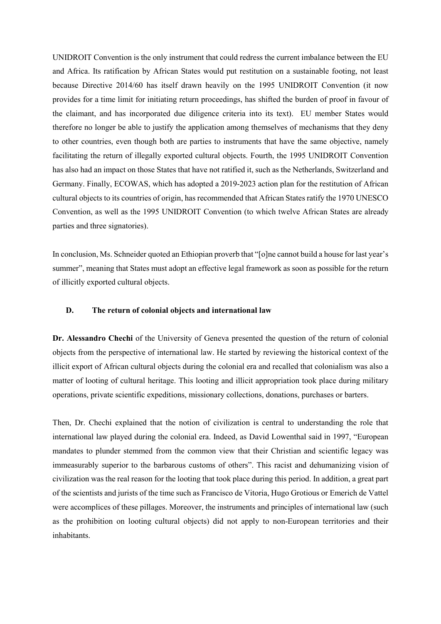UNIDROIT Convention is the only instrument that could redress the current imbalance between the EU and Africa. Its ratification by African States would put restitution on a sustainable footing, not least because Directive 2014/60 has itself drawn heavily on the 1995 UNIDROIT Convention (it now provides for a time limit for initiating return proceedings, has shifted the burden of proof in favour of the claimant, and has incorporated due diligence criteria into its text). EU member States would therefore no longer be able to justify the application among themselves of mechanisms that they deny to other countries, even though both are parties to instruments that have the same objective, namely facilitating the return of illegally exported cultural objects. Fourth, the 1995 UNIDROIT Convention has also had an impact on those States that have not ratified it, such as the Netherlands, Switzerland and Germany. Finally, ECOWAS, which has adopted a 2019-2023 action plan for the restitution of African cultural objects to its countries of origin, has recommended that African States ratify the 1970 UNESCO Convention, as well as the 1995 UNIDROIT Convention (to which twelve African States are already parties and three signatories).

In conclusion, Ms. Schneider quoted an Ethiopian proverb that "[o]ne cannot build a house for last year's summer", meaning that States must adopt an effective legal framework as soon as possible for the return of illicitly exported cultural objects.

#### **D. The return of colonial objects and international law**

**Dr. Alessandro Chechi** of the University of Geneva presented the question of the return of colonial objects from the perspective of international law. He started by reviewing the historical context of the illicit export of African cultural objects during the colonial era and recalled that colonialism was also a matter of looting of cultural heritage. This looting and illicit appropriation took place during military operations, private scientific expeditions, missionary collections, donations, purchases or barters.

Then, Dr. Chechi explained that the notion of civilization is central to understanding the role that international law played during the colonial era. Indeed, as David Lowenthal said in 1997, "European mandates to plunder stemmed from the common view that their Christian and scientific legacy was immeasurably superior to the barbarous customs of others". This racist and dehumanizing vision of civilization was the real reason for the looting that took place during this period. In addition, a great part of the scientists and jurists of the time such as Francisco de Vitoria, Hugo Grotious or Emerich de Vattel were accomplices of these pillages. Moreover, the instruments and principles of international law (such as the prohibition on looting cultural objects) did not apply to non-European territories and their inhabitants.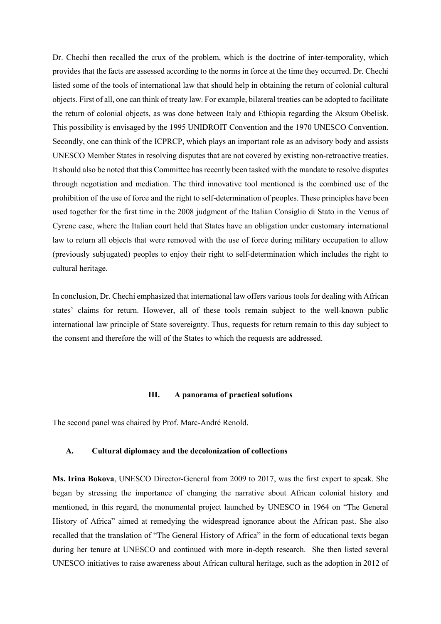Dr. Chechi then recalled the crux of the problem, which is the doctrine of inter-temporality, which provides that the facts are assessed according to the norms in force at the time they occurred. Dr. Chechi listed some of the tools of international law that should help in obtaining the return of colonial cultural objects. First of all, one can think of treaty law. For example, bilateral treaties can be adopted to facilitate the return of colonial objects, as was done between Italy and Ethiopia regarding the Aksum Obelisk. This possibility is envisaged by the 1995 UNIDROIT Convention and the 1970 UNESCO Convention. Secondly, one can think of the ICPRCP, which plays an important role as an advisory body and assists UNESCO Member States in resolving disputes that are not covered by existing non-retroactive treaties. It should also be noted that this Committee has recently been tasked with the mandate to resolve disputes through negotiation and mediation. The third innovative tool mentioned is the combined use of the prohibition of the use of force and the right to self-determination of peoples. These principles have been used together for the first time in the 2008 judgment of the Italian Consiglio di Stato in the Venus of Cyrene case, where the Italian court held that States have an obligation under customary international law to return all objects that were removed with the use of force during military occupation to allow (previously subjugated) peoples to enjoy their right to self-determination which includes the right to cultural heritage.

In conclusion, Dr. Chechi emphasized that international law offers various tools for dealing with African states' claims for return. However, all of these tools remain subject to the well-known public international law principle of State sovereignty. Thus, requests for return remain to this day subject to the consent and therefore the will of the States to which the requests are addressed.

#### **III. A panorama of practical solutions**

The second panel was chaired by Prof. Marc-André Renold.

#### **A. Cultural diplomacy and the decolonization of collections**

**Ms. Irina Bokova**, UNESCO Director-General from 2009 to 2017, was the first expert to speak. She began by stressing the importance of changing the narrative about African colonial history and mentioned, in this regard, the monumental project launched by UNESCO in 1964 on "The General History of Africa" aimed at remedying the widespread ignorance about the African past. She also recalled that the translation of "The General History of Africa" in the form of educational texts began during her tenure at UNESCO and continued with more in-depth research. She then listed several UNESCO initiatives to raise awareness about African cultural heritage, such as the adoption in 2012 of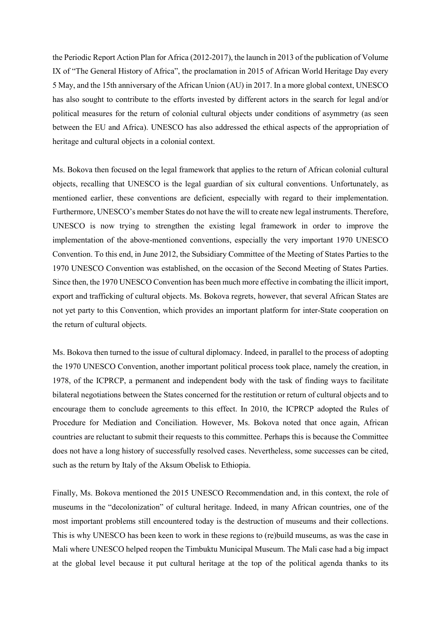the Periodic Report Action Plan for Africa (2012-2017), the launch in 2013 of the publication of Volume IX of "The General History of Africa", the proclamation in 2015 of African World Heritage Day every 5 May, and the 15th anniversary of the African Union (AU) in 2017. In a more global context, UNESCO has also sought to contribute to the efforts invested by different actors in the search for legal and/or political measures for the return of colonial cultural objects under conditions of asymmetry (as seen between the EU and Africa). UNESCO has also addressed the ethical aspects of the appropriation of heritage and cultural objects in a colonial context.

Ms. Bokova then focused on the legal framework that applies to the return of African colonial cultural objects, recalling that UNESCO is the legal guardian of six cultural conventions. Unfortunately, as mentioned earlier, these conventions are deficient, especially with regard to their implementation. Furthermore, UNESCO's member States do not have the will to create new legal instruments. Therefore, UNESCO is now trying to strengthen the existing legal framework in order to improve the implementation of the above-mentioned conventions, especially the very important 1970 UNESCO Convention. To this end, in June 2012, the Subsidiary Committee of the Meeting of States Parties to the 1970 UNESCO Convention was established, on the occasion of the Second Meeting of States Parties. Since then, the 1970 UNESCO Convention has been much more effective in combating the illicit import, export and trafficking of cultural objects. Ms. Bokova regrets, however, that several African States are not yet party to this Convention, which provides an important platform for inter-State cooperation on the return of cultural objects.

Ms. Bokova then turned to the issue of cultural diplomacy. Indeed, in parallel to the process of adopting the 1970 UNESCO Convention, another important political process took place, namely the creation, in 1978, of the ICPRCP, a permanent and independent body with the task of finding ways to facilitate bilateral negotiations between the States concerned for the restitution or return of cultural objects and to encourage them to conclude agreements to this effect. In 2010, the ICPRCP adopted the Rules of Procedure for Mediation and Conciliation. However, Ms. Bokova noted that once again, African countries are reluctant to submit their requests to this committee. Perhaps this is because the Committee does not have a long history of successfully resolved cases. Nevertheless, some successes can be cited, such as the return by Italy of the Aksum Obelisk to Ethiopia.

Finally, Ms. Bokova mentioned the 2015 UNESCO Recommendation and, in this context, the role of museums in the "decolonization" of cultural heritage. Indeed, in many African countries, one of the most important problems still encountered today is the destruction of museums and their collections. This is why UNESCO has been keen to work in these regions to (re)build museums, as was the case in Mali where UNESCO helped reopen the Timbuktu Municipal Museum. The Mali case had a big impact at the global level because it put cultural heritage at the top of the political agenda thanks to its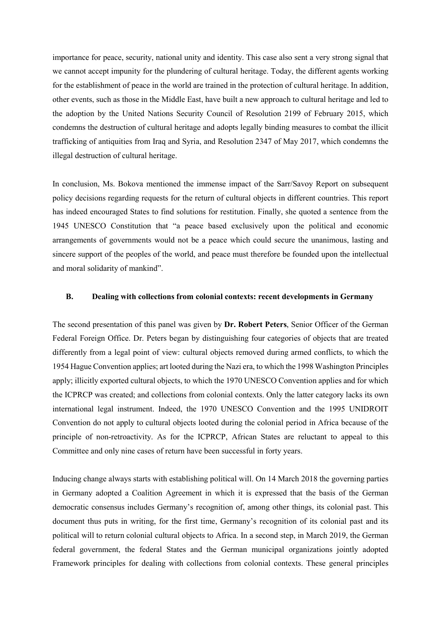importance for peace, security, national unity and identity. This case also sent a very strong signal that we cannot accept impunity for the plundering of cultural heritage. Today, the different agents working for the establishment of peace in the world are trained in the protection of cultural heritage. In addition, other events, such as those in the Middle East, have built a new approach to cultural heritage and led to the adoption by the United Nations Security Council of Resolution 2199 of February 2015, which condemns the destruction of cultural heritage and adopts legally binding measures to combat the illicit trafficking of antiquities from Iraq and Syria, and Resolution 2347 of May 2017, which condemns the illegal destruction of cultural heritage.

In conclusion, Ms. Bokova mentioned the immense impact of the Sarr/Savoy Report on subsequent policy decisions regarding requests for the return of cultural objects in different countries. This report has indeed encouraged States to find solutions for restitution. Finally, she quoted a sentence from the 1945 UNESCO Constitution that "a peace based exclusively upon the political and economic arrangements of governments would not be a peace which could secure the unanimous, lasting and sincere support of the peoples of the world, and peace must therefore be founded upon the intellectual and moral solidarity of mankind".

# **B. Dealing with collections from colonial contexts: recent developments in Germany**

The second presentation of this panel was given by **Dr. Robert Peters**, Senior Officer of the German Federal Foreign Office. Dr. Peters began by distinguishing four categories of objects that are treated differently from a legal point of view: cultural objects removed during armed conflicts, to which the 1954 Hague Convention applies; art looted during the Nazi era, to which the 1998 Washington Principles apply; illicitly exported cultural objects, to which the 1970 UNESCO Convention applies and for which the ICPRCP was created; and collections from colonial contexts. Only the latter category lacks its own international legal instrument. Indeed, the 1970 UNESCO Convention and the 1995 UNIDROIT Convention do not apply to cultural objects looted during the colonial period in Africa because of the principle of non-retroactivity. As for the ICPRCP, African States are reluctant to appeal to this Committee and only nine cases of return have been successful in forty years.

Inducing change always starts with establishing political will. On 14 March 2018 the governing parties in Germany adopted a Coalition Agreement in which it is expressed that the basis of the German democratic consensus includes Germany's recognition of, among other things, its colonial past. This document thus puts in writing, for the first time, Germany's recognition of its colonial past and its political will to return colonial cultural objects to Africa. In a second step, in March 2019, the German federal government, the federal States and the German municipal organizations jointly adopted Framework principles for dealing with collections from colonial contexts. These general principles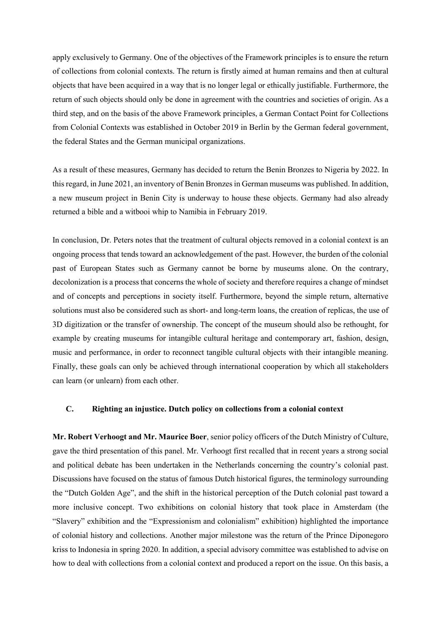apply exclusively to Germany. One of the objectives of the Framework principles is to ensure the return of collections from colonial contexts. The return is firstly aimed at human remains and then at cultural objects that have been acquired in a way that is no longer legal or ethically justifiable. Furthermore, the return of such objects should only be done in agreement with the countries and societies of origin. As a third step, and on the basis of the above Framework principles, a German Contact Point for Collections from Colonial Contexts was established in October 2019 in Berlin by the German federal government, the federal States and the German municipal organizations.

As a result of these measures, Germany has decided to return the Benin Bronzes to Nigeria by 2022. In this regard, in June 2021, an inventory of Benin Bronzes in German museums was published. In addition, a new museum project in Benin City is underway to house these objects. Germany had also already returned a bible and a witbooi whip to Namibia in February 2019.

In conclusion, Dr. Peters notes that the treatment of cultural objects removed in a colonial context is an ongoing process that tends toward an acknowledgement of the past. However, the burden of the colonial past of European States such as Germany cannot be borne by museums alone. On the contrary, decolonization is a process that concerns the whole of society and therefore requires a change of mindset and of concepts and perceptions in society itself. Furthermore, beyond the simple return, alternative solutions must also be considered such as short- and long-term loans, the creation of replicas, the use of 3D digitization or the transfer of ownership. The concept of the museum should also be rethought, for example by creating museums for intangible cultural heritage and contemporary art, fashion, design, music and performance, in order to reconnect tangible cultural objects with their intangible meaning. Finally, these goals can only be achieved through international cooperation by which all stakeholders can learn (or unlearn) from each other.

# **C. Righting an injustice. Dutch policy on collections from a colonial context**

**Mr. Robert Verhoogt and Mr. Maurice Boer**, senior policy officers of the Dutch Ministry of Culture, gave the third presentation of this panel. Mr. Verhoogt first recalled that in recent years a strong social and political debate has been undertaken in the Netherlands concerning the country's colonial past. Discussions have focused on the status of famous Dutch historical figures, the terminology surrounding the "Dutch Golden Age", and the shift in the historical perception of the Dutch colonial past toward a more inclusive concept. Two exhibitions on colonial history that took place in Amsterdam (the "Slavery" exhibition and the "Expressionism and colonialism" exhibition) highlighted the importance of colonial history and collections. Another major milestone was the return of the Prince Diponegoro kriss to Indonesia in spring 2020. In addition, a special advisory committee was established to advise on how to deal with collections from a colonial context and produced a report on the issue. On this basis, a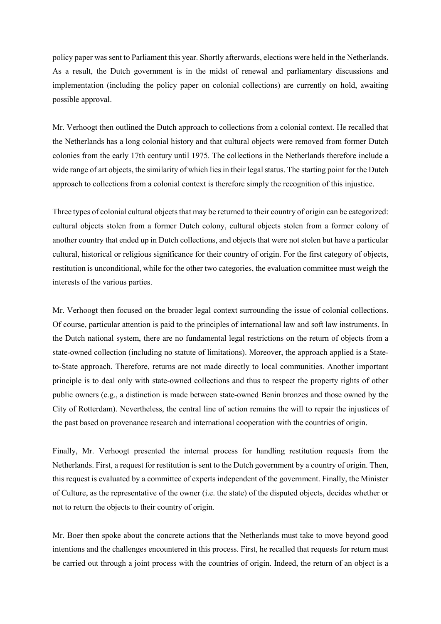policy paper was sent to Parliament this year. Shortly afterwards, elections were held in the Netherlands. As a result, the Dutch government is in the midst of renewal and parliamentary discussions and implementation (including the policy paper on colonial collections) are currently on hold, awaiting possible approval.

Mr. Verhoogt then outlined the Dutch approach to collections from a colonial context. He recalled that the Netherlands has a long colonial history and that cultural objects were removed from former Dutch colonies from the early 17th century until 1975. The collections in the Netherlands therefore include a wide range of art objects, the similarity of which lies in their legal status. The starting point for the Dutch approach to collections from a colonial context is therefore simply the recognition of this injustice.

Three types of colonial cultural objects that may be returned to their country of origin can be categorized: cultural objects stolen from a former Dutch colony, cultural objects stolen from a former colony of another country that ended up in Dutch collections, and objects that were not stolen but have a particular cultural, historical or religious significance for their country of origin. For the first category of objects, restitution is unconditional, while for the other two categories, the evaluation committee must weigh the interests of the various parties.

Mr. Verhoogt then focused on the broader legal context surrounding the issue of colonial collections. Of course, particular attention is paid to the principles of international law and soft law instruments. In the Dutch national system, there are no fundamental legal restrictions on the return of objects from a state-owned collection (including no statute of limitations). Moreover, the approach applied is a Stateto-State approach. Therefore, returns are not made directly to local communities. Another important principle is to deal only with state-owned collections and thus to respect the property rights of other public owners (e.g., a distinction is made between state-owned Benin bronzes and those owned by the City of Rotterdam). Nevertheless, the central line of action remains the will to repair the injustices of the past based on provenance research and international cooperation with the countries of origin.

Finally, Mr. Verhoogt presented the internal process for handling restitution requests from the Netherlands. First, a request for restitution is sent to the Dutch government by a country of origin. Then, this request is evaluated by a committee of experts independent of the government. Finally, the Minister of Culture, as the representative of the owner (i.e. the state) of the disputed objects, decides whether or not to return the objects to their country of origin.

Mr. Boer then spoke about the concrete actions that the Netherlands must take to move beyond good intentions and the challenges encountered in this process. First, he recalled that requests for return must be carried out through a joint process with the countries of origin. Indeed, the return of an object is a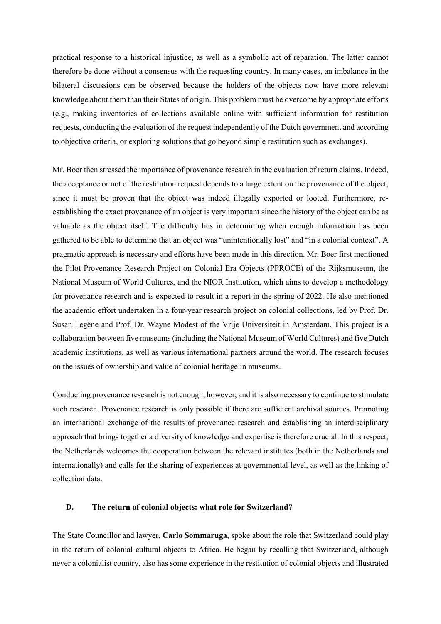practical response to a historical injustice, as well as a symbolic act of reparation. The latter cannot therefore be done without a consensus with the requesting country. In many cases, an imbalance in the bilateral discussions can be observed because the holders of the objects now have more relevant knowledge about them than their States of origin. This problem must be overcome by appropriate efforts (e.g., making inventories of collections available online with sufficient information for restitution requests, conducting the evaluation of the request independently of the Dutch government and according to objective criteria, or exploring solutions that go beyond simple restitution such as exchanges).

Mr. Boer then stressed the importance of provenance research in the evaluation of return claims. Indeed, the acceptance or not of the restitution request depends to a large extent on the provenance of the object, since it must be proven that the object was indeed illegally exported or looted. Furthermore, reestablishing the exact provenance of an object is very important since the history of the object can be as valuable as the object itself. The difficulty lies in determining when enough information has been gathered to be able to determine that an object was "unintentionally lost" and "in a colonial context". A pragmatic approach is necessary and efforts have been made in this direction. Mr. Boer first mentioned the Pilot Provenance Research Project on Colonial Era Objects (PPROCE) of the Rijksmuseum, the National Museum of World Cultures, and the NIOR Institution, which aims to develop a methodology for provenance research and is expected to result in a report in the spring of 2022. He also mentioned the academic effort undertaken in a four-year research project on colonial collections, led by Prof. Dr. Susan Legêne and Prof. Dr. Wayne Modest of the Vrije Universiteit in Amsterdam. This project is a collaboration between five museums (including the National Museum of World Cultures) and five Dutch academic institutions, as well as various international partners around the world. The research focuses on the issues of ownership and value of colonial heritage in museums.

Conducting provenance research is not enough, however, and it is also necessary to continue to stimulate such research. Provenance research is only possible if there are sufficient archival sources. Promoting an international exchange of the results of provenance research and establishing an interdisciplinary approach that brings together a diversity of knowledge and expertise is therefore crucial. In this respect, the Netherlands welcomes the cooperation between the relevant institutes (both in the Netherlands and internationally) and calls for the sharing of experiences at governmental level, as well as the linking of collection data.

# **D. The return of colonial objects: what role for Switzerland?**

The State Councillor and lawyer, **Carlo Sommaruga**, spoke about the role that Switzerland could play in the return of colonial cultural objects to Africa. He began by recalling that Switzerland, although never a colonialist country, also has some experience in the restitution of colonial objects and illustrated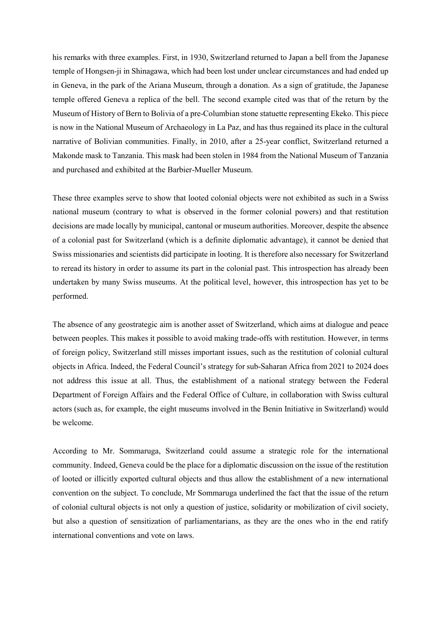his remarks with three examples. First, in 1930, Switzerland returned to Japan a bell from the Japanese temple of Hongsen-ji in Shinagawa, which had been lost under unclear circumstances and had ended up in Geneva, in the park of the Ariana Museum, through a donation. As a sign of gratitude, the Japanese temple offered Geneva a replica of the bell. The second example cited was that of the return by the Museum of History of Bern to Bolivia of a pre-Columbian stone statuette representing Ekeko. This piece is now in the National Museum of Archaeology in La Paz, and has thus regained its place in the cultural narrative of Bolivian communities. Finally, in 2010, after a 25-year conflict, Switzerland returned a Makonde mask to Tanzania. This mask had been stolen in 1984 from the National Museum of Tanzania and purchased and exhibited at the Barbier-Mueller Museum.

These three examples serve to show that looted colonial objects were not exhibited as such in a Swiss national museum (contrary to what is observed in the former colonial powers) and that restitution decisions are made locally by municipal, cantonal or museum authorities. Moreover, despite the absence of a colonial past for Switzerland (which is a definite diplomatic advantage), it cannot be denied that Swiss missionaries and scientists did participate in looting. It is therefore also necessary for Switzerland to reread its history in order to assume its part in the colonial past. This introspection has already been undertaken by many Swiss museums. At the political level, however, this introspection has yet to be performed.

The absence of any geostrategic aim is another asset of Switzerland, which aims at dialogue and peace between peoples. This makes it possible to avoid making trade-offs with restitution. However, in terms of foreign policy, Switzerland still misses important issues, such as the restitution of colonial cultural objects in Africa. Indeed, the Federal Council's strategy for sub-Saharan Africa from 2021 to 2024 does not address this issue at all. Thus, the establishment of a national strategy between the Federal Department of Foreign Affairs and the Federal Office of Culture, in collaboration with Swiss cultural actors (such as, for example, the eight museums involved in the Benin Initiative in Switzerland) would be welcome.

According to Mr. Sommaruga, Switzerland could assume a strategic role for the international community. Indeed, Geneva could be the place for a diplomatic discussion on the issue of the restitution of looted or illicitly exported cultural objects and thus allow the establishment of a new international convention on the subject. To conclude, Mr Sommaruga underlined the fact that the issue of the return of colonial cultural objects is not only a question of justice, solidarity or mobilization of civil society, but also a question of sensitization of parliamentarians, as they are the ones who in the end ratify international conventions and vote on laws.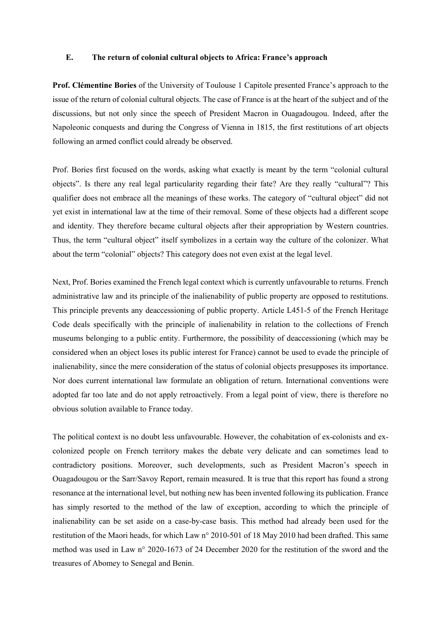# **E. The return of colonial cultural objects to Africa: France's approach**

**Prof. Clémentine Bories** of the University of Toulouse 1 Capitole presented France's approach to the issue of the return of colonial cultural objects. The case of France is at the heart of the subject and of the discussions, but not only since the speech of President Macron in Ouagadougou. Indeed, after the Napoleonic conquests and during the Congress of Vienna in 1815, the first restitutions of art objects following an armed conflict could already be observed.

Prof. Bories first focused on the words, asking what exactly is meant by the term "colonial cultural objects". Is there any real legal particularity regarding their fate? Are they really "cultural"? This qualifier does not embrace all the meanings of these works. The category of "cultural object" did not yet exist in international law at the time of their removal. Some of these objects had a different scope and identity. They therefore became cultural objects after their appropriation by Western countries. Thus, the term "cultural object" itself symbolizes in a certain way the culture of the colonizer. What about the term "colonial" objects? This category does not even exist at the legal level.

Next, Prof. Bories examined the French legal context which is currently unfavourable to returns. French administrative law and its principle of the inalienability of public property are opposed to restitutions. This principle prevents any deaccessioning of public property. Article L451-5 of the French Heritage Code deals specifically with the principle of inalienability in relation to the collections of French museums belonging to a public entity. Furthermore, the possibility of deaccessioning (which may be considered when an object loses its public interest for France) cannot be used to evade the principle of inalienability, since the mere consideration of the status of colonial objects presupposes its importance. Nor does current international law formulate an obligation of return. International conventions were adopted far too late and do not apply retroactively. From a legal point of view, there is therefore no obvious solution available to France today.

The political context is no doubt less unfavourable. However, the cohabitation of ex-colonists and excolonized people on French territory makes the debate very delicate and can sometimes lead to contradictory positions. Moreover, such developments, such as President Macron's speech in Ouagadougou or the Sarr/Savoy Report, remain measured. It is true that this report has found a strong resonance at the international level, but nothing new has been invented following its publication. France has simply resorted to the method of the law of exception, according to which the principle of inalienability can be set aside on a case-by-case basis. This method had already been used for the restitution of the Maori heads, for which Law n° 2010-501 of 18 May 2010 had been drafted. This same method was used in Law n° 2020-1673 of 24 December 2020 for the restitution of the sword and the treasures of Abomey to Senegal and Benin.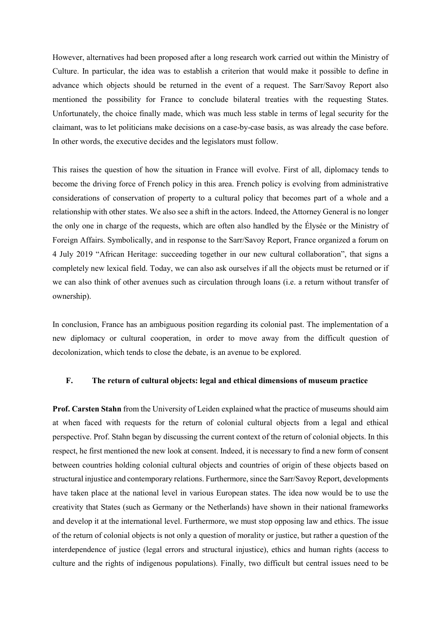However, alternatives had been proposed after a long research work carried out within the Ministry of Culture. In particular, the idea was to establish a criterion that would make it possible to define in advance which objects should be returned in the event of a request. The Sarr/Savoy Report also mentioned the possibility for France to conclude bilateral treaties with the requesting States. Unfortunately, the choice finally made, which was much less stable in terms of legal security for the claimant, was to let politicians make decisions on a case-by-case basis, as was already the case before. In other words, the executive decides and the legislators must follow.

This raises the question of how the situation in France will evolve. First of all, diplomacy tends to become the driving force of French policy in this area. French policy is evolving from administrative considerations of conservation of property to a cultural policy that becomes part of a whole and a relationship with other states. We also see a shift in the actors. Indeed, the Attorney General is no longer the only one in charge of the requests, which are often also handled by the Élysée or the Ministry of Foreign Affairs. Symbolically, and in response to the Sarr/Savoy Report, France organized a forum on 4 July 2019 "African Heritage: succeeding together in our new cultural collaboration", that signs a completely new lexical field. Today, we can also ask ourselves if all the objects must be returned or if we can also think of other avenues such as circulation through loans (i.e. a return without transfer of ownership).

In conclusion, France has an ambiguous position regarding its colonial past. The implementation of a new diplomacy or cultural cooperation, in order to move away from the difficult question of decolonization, which tends to close the debate, is an avenue to be explored.

#### **F. The return of cultural objects: legal and ethical dimensions of museum practice**

**Prof. Carsten Stahn** from the University of Leiden explained what the practice of museums should aim at when faced with requests for the return of colonial cultural objects from a legal and ethical perspective. Prof. Stahn began by discussing the current context of the return of colonial objects. In this respect, he first mentioned the new look at consent. Indeed, it is necessary to find a new form of consent between countries holding colonial cultural objects and countries of origin of these objects based on structural injustice and contemporary relations. Furthermore, since the Sarr/Savoy Report, developments have taken place at the national level in various European states. The idea now would be to use the creativity that States (such as Germany or the Netherlands) have shown in their national frameworks and develop it at the international level. Furthermore, we must stop opposing law and ethics. The issue of the return of colonial objects is not only a question of morality or justice, but rather a question of the interdependence of justice (legal errors and structural injustice), ethics and human rights (access to culture and the rights of indigenous populations). Finally, two difficult but central issues need to be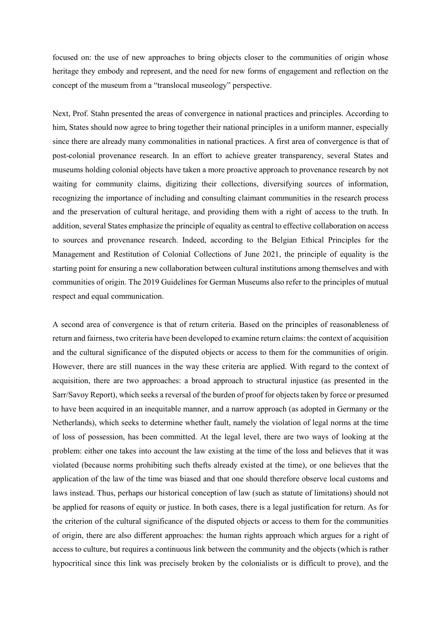focused on: the use of new approaches to bring objects closer to the communities of origin whose heritage they embody and represent, and the need for new forms of engagement and reflection on the concept of the museum from a "translocal museology" perspective.

Next, Prof. Stahn presented the areas of convergence in national practices and principles. According to him, States should now agree to bring together their national principles in a uniform manner, especially since there are already many commonalities in national practices. A first area of convergence is that of post-colonial provenance research. In an effort to achieve greater transparency, several States and museums holding colonial objects have taken a more proactive approach to provenance research by not waiting for community claims, digitizing their collections, diversifying sources of information, recognizing the importance of including and consulting claimant communities in the research process and the preservation of cultural heritage, and providing them with a right of access to the truth. In addition, several States emphasize the principle of equality as central to effective collaboration on access to sources and provenance research. Indeed, according to the Belgian Ethical Principles for the Management and Restitution of Colonial Collections of June 2021, the principle of equality is the starting point for ensuring a new collaboration between cultural institutions among themselves and with communities of origin. The 2019 Guidelines for German Museums also refer to the principles of mutual respect and equal communication.

A second area of convergence is that of return criteria. Based on the principles of reasonableness of return and fairness, two criteria have been developed to examine return claims: the context of acquisition and the cultural significance of the disputed objects or access to them for the communities of origin. However, there are still nuances in the way these criteria are applied. With regard to the context of acquisition, there are two approaches: a broad approach to structural injustice (as presented in the Sarr/Savoy Report), which seeks a reversal of the burden of proof for objects taken by force or presumed to have been acquired in an inequitable manner, and a narrow approach (as adopted in Germany or the Netherlands), which seeks to determine whether fault, namely the violation of legal norms at the time of loss of possession, has been committed. At the legal level, there are two ways of looking at the problem: either one takes into account the law existing at the time of the loss and believes that it was violated (because norms prohibiting such thefts already existed at the time), or one believes that the application of the law of the time was biased and that one should therefore observe local customs and laws instead. Thus, perhaps our historical conception of law (such as statute of limitations) should not be applied for reasons of equity or justice. In both cases, there is a legal justification for return. As for the criterion of the cultural significance of the disputed objects or access to them for the communities of origin, there are also different approaches: the human rights approach which argues for a right of access to culture, but requires a continuous link between the community and the objects (which is rather hypocritical since this link was precisely broken by the colonialists or is difficult to prove), and the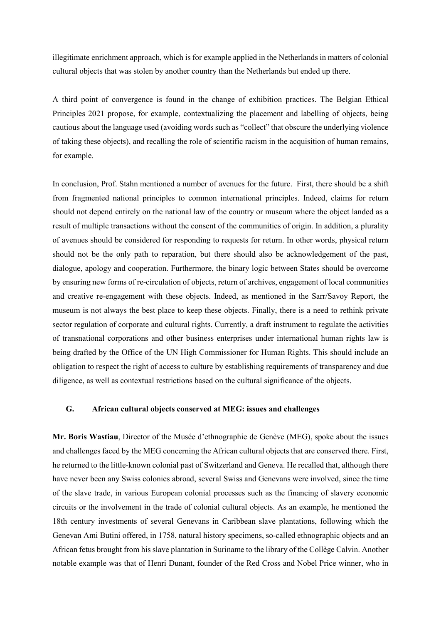illegitimate enrichment approach, which is for example applied in the Netherlands in matters of colonial cultural objects that was stolen by another country than the Netherlands but ended up there.

A third point of convergence is found in the change of exhibition practices. The Belgian Ethical Principles 2021 propose, for example, contextualizing the placement and labelling of objects, being cautious about the language used (avoiding words such as "collect" that obscure the underlying violence of taking these objects), and recalling the role of scientific racism in the acquisition of human remains, for example.

In conclusion, Prof. Stahn mentioned a number of avenues for the future. First, there should be a shift from fragmented national principles to common international principles. Indeed, claims for return should not depend entirely on the national law of the country or museum where the object landed as a result of multiple transactions without the consent of the communities of origin. In addition, a plurality of avenues should be considered for responding to requests for return. In other words, physical return should not be the only path to reparation, but there should also be acknowledgement of the past, dialogue, apology and cooperation. Furthermore, the binary logic between States should be overcome by ensuring new forms of re-circulation of objects, return of archives, engagement of local communities and creative re-engagement with these objects. Indeed, as mentioned in the Sarr/Savoy Report, the museum is not always the best place to keep these objects. Finally, there is a need to rethink private sector regulation of corporate and cultural rights. Currently, a draft instrument to regulate the activities of transnational corporations and other business enterprises under international human rights law is being drafted by the Office of the UN High Commissioner for Human Rights. This should include an obligation to respect the right of access to culture by establishing requirements of transparency and due diligence, as well as contextual restrictions based on the cultural significance of the objects.

# **G. African cultural objects conserved at MEG: issues and challenges**

**Mr. Boris Wastiau**, Director of the Musée d'ethnographie de Genève (MEG), spoke about the issues and challenges faced by the MEG concerning the African cultural objects that are conserved there. First, he returned to the little-known colonial past of Switzerland and Geneva. He recalled that, although there have never been any Swiss colonies abroad, several Swiss and Genevans were involved, since the time of the slave trade, in various European colonial processes such as the financing of slavery economic circuits or the involvement in the trade of colonial cultural objects. As an example, he mentioned the 18th century investments of several Genevans in Caribbean slave plantations, following which the Genevan Ami Butini offered, in 1758, natural history specimens, so-called ethnographic objects and an African fetus brought from his slave plantation in Suriname to the library of the Collège Calvin. Another notable example was that of Henri Dunant, founder of the Red Cross and Nobel Price winner, who in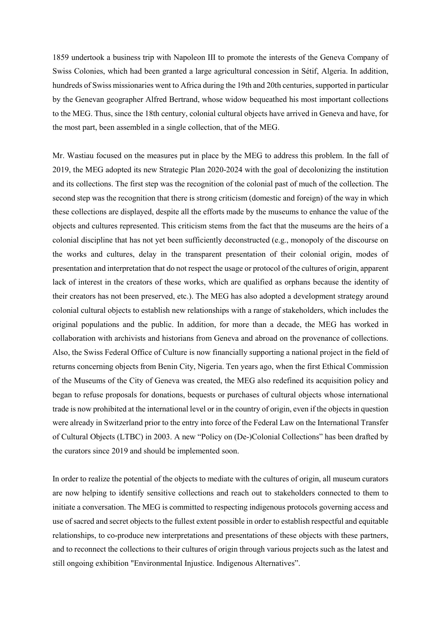1859 undertook a business trip with Napoleon III to promote the interests of the Geneva Company of Swiss Colonies, which had been granted a large agricultural concession in Sétif, Algeria. In addition, hundreds of Swiss missionaries went to Africa during the 19th and 20th centuries, supported in particular by the Genevan geographer Alfred Bertrand, whose widow bequeathed his most important collections to the MEG. Thus, since the 18th century, colonial cultural objects have arrived in Geneva and have, for the most part, been assembled in a single collection, that of the MEG.

Mr. Wastiau focused on the measures put in place by the MEG to address this problem. In the fall of 2019, the MEG adopted its new Strategic Plan 2020-2024 with the goal of decolonizing the institution and its collections. The first step was the recognition of the colonial past of much of the collection. The second step was the recognition that there is strong criticism (domestic and foreign) of the way in which these collections are displayed, despite all the efforts made by the museums to enhance the value of the objects and cultures represented. This criticism stems from the fact that the museums are the heirs of a colonial discipline that has not yet been sufficiently deconstructed (e.g., monopoly of the discourse on the works and cultures, delay in the transparent presentation of their colonial origin, modes of presentation and interpretation that do not respect the usage or protocol of the cultures of origin, apparent lack of interest in the creators of these works, which are qualified as orphans because the identity of their creators has not been preserved, etc.). The MEG has also adopted a development strategy around colonial cultural objects to establish new relationships with a range of stakeholders, which includes the original populations and the public. In addition, for more than a decade, the MEG has worked in collaboration with archivists and historians from Geneva and abroad on the provenance of collections. Also, the Swiss Federal Office of Culture is now financially supporting a national project in the field of returns concerning objects from Benin City, Nigeria. Ten years ago, when the first Ethical Commission of the Museums of the City of Geneva was created, the MEG also redefined its acquisition policy and began to refuse proposals for donations, bequests or purchases of cultural objects whose international trade is now prohibited at the international level or in the country of origin, even if the objects in question were already in Switzerland prior to the entry into force of the Federal Law on the International Transfer of Cultural Objects (LTBC) in 2003. A new "Policy on (De-)Colonial Collections" has been drafted by the curators since 2019 and should be implemented soon.

In order to realize the potential of the objects to mediate with the cultures of origin, all museum curators are now helping to identify sensitive collections and reach out to stakeholders connected to them to initiate a conversation. The MEG is committed to respecting indigenous protocols governing access and use of sacred and secret objects to the fullest extent possible in order to establish respectful and equitable relationships, to co-produce new interpretations and presentations of these objects with these partners, and to reconnect the collections to their cultures of origin through various projects such as the latest and still ongoing exhibition "Environmental Injustice. Indigenous Alternatives".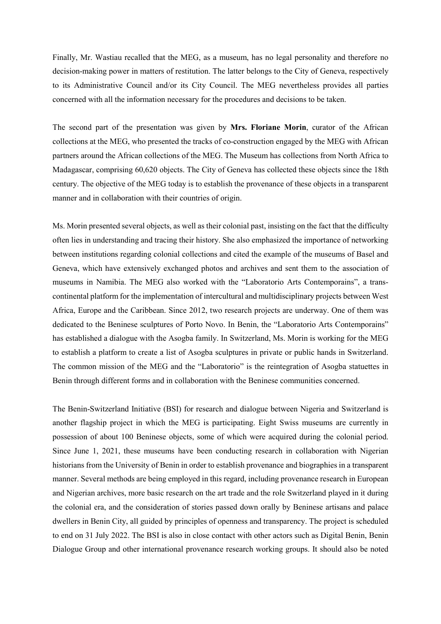Finally, Mr. Wastiau recalled that the MEG, as a museum, has no legal personality and therefore no decision-making power in matters of restitution. The latter belongs to the City of Geneva, respectively to its Administrative Council and/or its City Council. The MEG nevertheless provides all parties concerned with all the information necessary for the procedures and decisions to be taken.

The second part of the presentation was given by **Mrs. Floriane Morin**, curator of the African collections at the MEG, who presented the tracks of co-construction engaged by the MEG with African partners around the African collections of the MEG. The Museum has collections from North Africa to Madagascar, comprising 60,620 objects. The City of Geneva has collected these objects since the 18th century. The objective of the MEG today is to establish the provenance of these objects in a transparent manner and in collaboration with their countries of origin.

Ms. Morin presented several objects, as well as their colonial past, insisting on the fact that the difficulty often lies in understanding and tracing their history. She also emphasized the importance of networking between institutions regarding colonial collections and cited the example of the museums of Basel and Geneva, which have extensively exchanged photos and archives and sent them to the association of museums in Namibia. The MEG also worked with the "Laboratorio Arts Contemporains", a transcontinental platform for the implementation of intercultural and multidisciplinary projects between West Africa, Europe and the Caribbean. Since 2012, two research projects are underway. One of them was dedicated to the Beninese sculptures of Porto Novo. In Benin, the "Laboratorio Arts Contemporains" has established a dialogue with the Asogba family. In Switzerland, Ms. Morin is working for the MEG to establish a platform to create a list of Asogba sculptures in private or public hands in Switzerland. The common mission of the MEG and the "Laboratorio" is the reintegration of Asogba statuettes in Benin through different forms and in collaboration with the Beninese communities concerned.

The Benin-Switzerland Initiative (BSI) for research and dialogue between Nigeria and Switzerland is another flagship project in which the MEG is participating. Eight Swiss museums are currently in possession of about 100 Beninese objects, some of which were acquired during the colonial period. Since June 1, 2021, these museums have been conducting research in collaboration with Nigerian historians from the University of Benin in order to establish provenance and biographies in a transparent manner. Several methods are being employed in this regard, including provenance research in European and Nigerian archives, more basic research on the art trade and the role Switzerland played in it during the colonial era, and the consideration of stories passed down orally by Beninese artisans and palace dwellers in Benin City, all guided by principles of openness and transparency. The project is scheduled to end on 31 July 2022. The BSI is also in close contact with other actors such as Digital Benin, Benin Dialogue Group and other international provenance research working groups. It should also be noted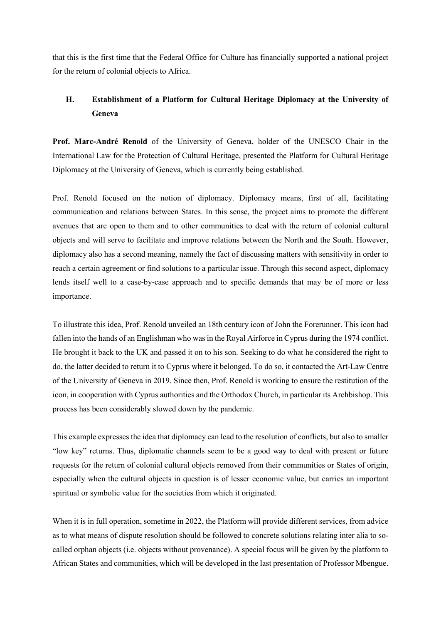that this is the first time that the Federal Office for Culture has financially supported a national project for the return of colonial objects to Africa.

# **H. Establishment of a Platform for Cultural Heritage Diplomacy at the University of Geneva**

**Prof. Marc-André Renold** of the University of Geneva, holder of the UNESCO Chair in the International Law for the Protection of Cultural Heritage, presented the Platform for Cultural Heritage Diplomacy at the University of Geneva, which is currently being established.

Prof. Renold focused on the notion of diplomacy. Diplomacy means, first of all, facilitating communication and relations between States. In this sense, the project aims to promote the different avenues that are open to them and to other communities to deal with the return of colonial cultural objects and will serve to facilitate and improve relations between the North and the South. However, diplomacy also has a second meaning, namely the fact of discussing matters with sensitivity in order to reach a certain agreement or find solutions to a particular issue. Through this second aspect, diplomacy lends itself well to a case-by-case approach and to specific demands that may be of more or less importance.

To illustrate this idea, Prof. Renold unveiled an 18th century icon of John the Forerunner. This icon had fallen into the hands of an Englishman who was in the Royal Airforce in Cyprus during the 1974 conflict. He brought it back to the UK and passed it on to his son. Seeking to do what he considered the right to do, the latter decided to return it to Cyprus where it belonged. To do so, it contacted the Art-Law Centre of the University of Geneva in 2019. Since then, Prof. Renold is working to ensure the restitution of the icon, in cooperation with Cyprus authorities and the Orthodox Church, in particular its Archbishop. This process has been considerably slowed down by the pandemic.

This example expresses the idea that diplomacy can lead to the resolution of conflicts, but also to smaller "low key" returns. Thus, diplomatic channels seem to be a good way to deal with present or future requests for the return of colonial cultural objects removed from their communities or States of origin, especially when the cultural objects in question is of lesser economic value, but carries an important spiritual or symbolic value for the societies from which it originated.

When it is in full operation, sometime in 2022, the Platform will provide different services, from advice as to what means of dispute resolution should be followed to concrete solutions relating inter alia to socalled orphan objects (i.e. objects without provenance). A special focus will be given by the platform to African States and communities, which will be developed in the last presentation of Professor Mbengue.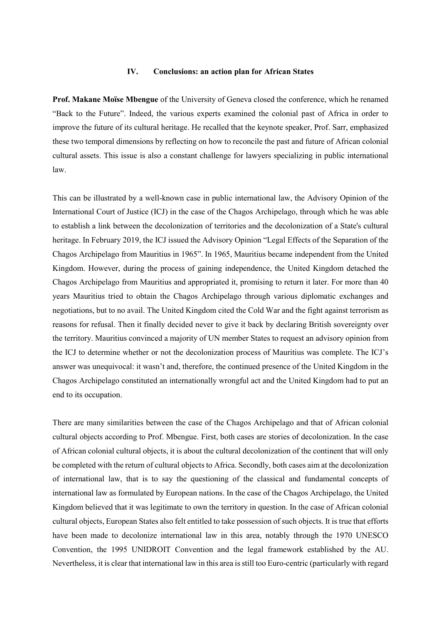# **IV. Conclusions: an action plan for African States**

**Prof. Makane Moïse Mbengue** of the University of Geneva closed the conference, which he renamed "Back to the Future". Indeed, the various experts examined the colonial past of Africa in order to improve the future of its cultural heritage. He recalled that the keynote speaker, Prof. Sarr, emphasized these two temporal dimensions by reflecting on how to reconcile the past and future of African colonial cultural assets. This issue is also a constant challenge for lawyers specializing in public international law.

This can be illustrated by a well-known case in public international law, the Advisory Opinion of the International Court of Justice (ICJ) in the case of the Chagos Archipelago, through which he was able to establish a link between the decolonization of territories and the decolonization of a State's cultural heritage. In February 2019, the ICJ issued the Advisory Opinion "Legal Effects of the Separation of the Chagos Archipelago from Mauritius in 1965". In 1965, Mauritius became independent from the United Kingdom. However, during the process of gaining independence, the United Kingdom detached the Chagos Archipelago from Mauritius and appropriated it, promising to return it later. For more than 40 years Mauritius tried to obtain the Chagos Archipelago through various diplomatic exchanges and negotiations, but to no avail. The United Kingdom cited the Cold War and the fight against terrorism as reasons for refusal. Then it finally decided never to give it back by declaring British sovereignty over the territory. Mauritius convinced a majority of UN member States to request an advisory opinion from the ICJ to determine whether or not the decolonization process of Mauritius was complete. The ICJ's answer was unequivocal: it wasn't and, therefore, the continued presence of the United Kingdom in the Chagos Archipelago constituted an internationally wrongful act and the United Kingdom had to put an end to its occupation.

There are many similarities between the case of the Chagos Archipelago and that of African colonial cultural objects according to Prof. Mbengue. First, both cases are stories of decolonization. In the case of African colonial cultural objects, it is about the cultural decolonization of the continent that will only be completed with the return of cultural objects to Africa. Secondly, both cases aim at the decolonization of international law, that is to say the questioning of the classical and fundamental concepts of international law as formulated by European nations. In the case of the Chagos Archipelago, the United Kingdom believed that it was legitimate to own the territory in question. In the case of African colonial cultural objects, European States also felt entitled to take possession of such objects. It is true that efforts have been made to decolonize international law in this area, notably through the 1970 UNESCO Convention, the 1995 UNIDROIT Convention and the legal framework established by the AU. Nevertheless, it is clear that international law in this area is still too Euro-centric (particularly with regard